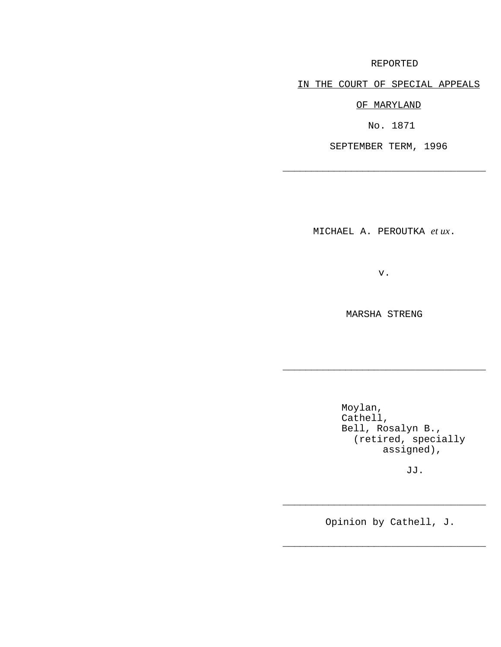## REPORTED

IN THE COURT OF SPECIAL APPEALS

OF MARYLAND

No. 1871

SEPTEMBER TERM, 1996

\_\_\_\_\_\_\_\_\_\_\_\_\_\_\_\_\_\_\_\_\_\_\_\_\_\_\_\_\_\_\_\_\_\_\_

MICHAEL A. PEROUTKA *et ux*.

v.

MARSHA STRENG

\_\_\_\_\_\_\_\_\_\_\_\_\_\_\_\_\_\_\_\_\_\_\_\_\_\_\_\_\_\_\_\_\_\_\_

Moylan, Cathell, Bell, Rosalyn B., (retired, specially assigned),

JJ.

Opinion by Cathell, J.

\_\_\_\_\_\_\_\_\_\_\_\_\_\_\_\_\_\_\_\_\_\_\_\_\_\_\_\_\_\_\_\_\_\_\_

\_\_\_\_\_\_\_\_\_\_\_\_\_\_\_\_\_\_\_\_\_\_\_\_\_\_\_\_\_\_\_\_\_\_\_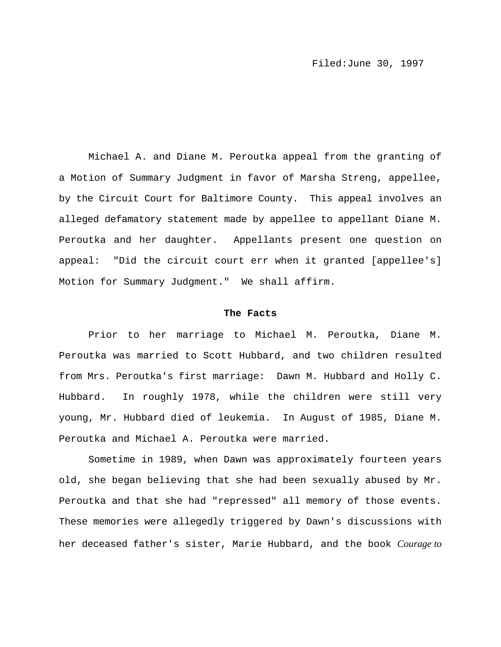Michael A. and Diane M. Peroutka appeal from the granting of a Motion of Summary Judgment in favor of Marsha Streng, appellee, by the Circuit Court for Baltimore County. This appeal involves an alleged defamatory statement made by appellee to appellant Diane M. Peroutka and her daughter. Appellants present one question on appeal: "Did the circuit court err when it granted [appellee's] Motion for Summary Judgment." We shall affirm.

## **The Facts**

Prior to her marriage to Michael M. Peroutka, Diane M. Peroutka was married to Scott Hubbard, and two children resulted from Mrs. Peroutka's first marriage: Dawn M. Hubbard and Holly C. Hubbard. In roughly 1978, while the children were still very young, Mr. Hubbard died of leukemia. In August of 1985, Diane M. Peroutka and Michael A. Peroutka were married.

Sometime in 1989, when Dawn was approximately fourteen years old, she began believing that she had been sexually abused by Mr. Peroutka and that she had "repressed" all memory of those events. These memories were allegedly triggered by Dawn's discussions with her deceased father's sister, Marie Hubbard, and the book *Courage to*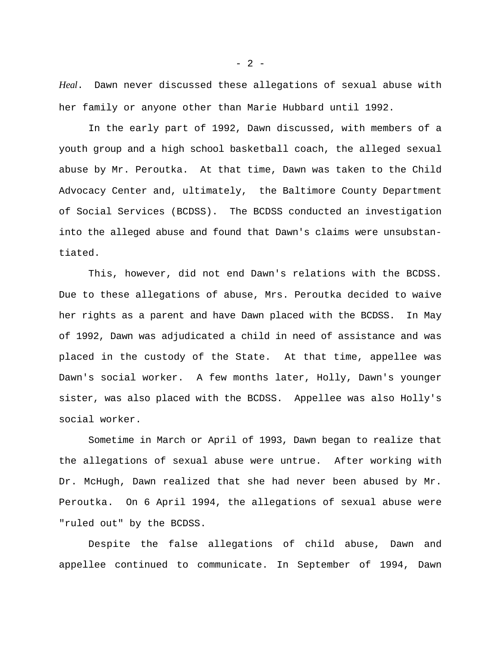*Heal*. Dawn never discussed these allegations of sexual abuse with her family or anyone other than Marie Hubbard until 1992.

In the early part of 1992, Dawn discussed, with members of a youth group and a high school basketball coach, the alleged sexual abuse by Mr. Peroutka. At that time, Dawn was taken to the Child Advocacy Center and, ultimately, the Baltimore County Department of Social Services (BCDSS). The BCDSS conducted an investigation into the alleged abuse and found that Dawn's claims were unsubstantiated.

This, however, did not end Dawn's relations with the BCDSS. Due to these allegations of abuse, Mrs. Peroutka decided to waive her rights as a parent and have Dawn placed with the BCDSS. In May of 1992, Dawn was adjudicated a child in need of assistance and was placed in the custody of the State. At that time, appellee was Dawn's social worker. A few months later, Holly, Dawn's younger sister, was also placed with the BCDSS. Appellee was also Holly's social worker.

Sometime in March or April of 1993, Dawn began to realize that the allegations of sexual abuse were untrue. After working with Dr. McHugh, Dawn realized that she had never been abused by Mr. Peroutka. On 6 April 1994, the allegations of sexual abuse were "ruled out" by the BCDSS.

Despite the false allegations of child abuse, Dawn and appellee continued to communicate. In September of 1994, Dawn

 $- 2 -$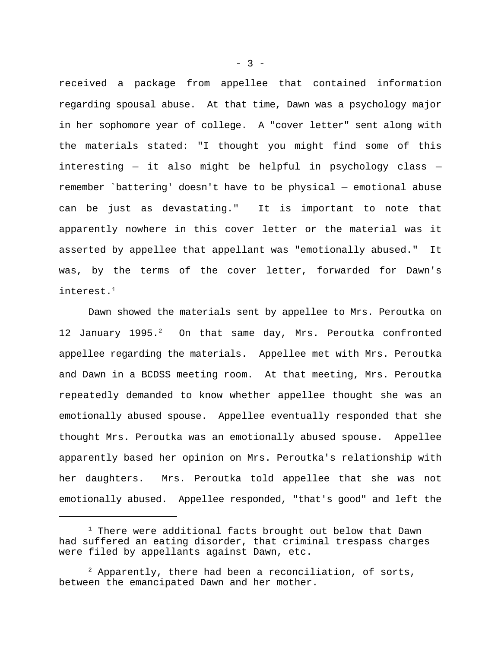received a package from appellee that contained information regarding spousal abuse. At that time, Dawn was a psychology major in her sophomore year of college. A "cover letter" sent along with the materials stated: "I thought you might find some of this interesting — it also might be helpful in psychology class remember `battering' doesn't have to be physical — emotional abuse can be just as devastating." It is important to note that apparently nowhere in this cover letter or the material was it asserted by appellee that appellant was "emotionally abused." It was, by the terms of the cover letter, forwarded for Dawn's interest.<sup>1</sup>

Dawn showed the materials sent by appellee to Mrs. Peroutka on 12 January 1995. $^2$  On that same day, Mrs. Peroutka confronted appellee regarding the materials. Appellee met with Mrs. Peroutka and Dawn in a BCDSS meeting room. At that meeting, Mrs. Peroutka repeatedly demanded to know whether appellee thought she was an emotionally abused spouse. Appellee eventually responded that she thought Mrs. Peroutka was an emotionally abused spouse. Appellee apparently based her opinion on Mrs. Peroutka's relationship with her daughters. Mrs. Peroutka told appellee that she was not emotionally abused. Appellee responded, "that's good" and left the

 $- 3 -$ 

 $1$  There were additional facts brought out below that Dawn had suffered an eating disorder, that criminal trespass charges were filed by appellants against Dawn, etc.

 $^2$  Apparently, there had been a reconciliation, of sorts, between the emancipated Dawn and her mother.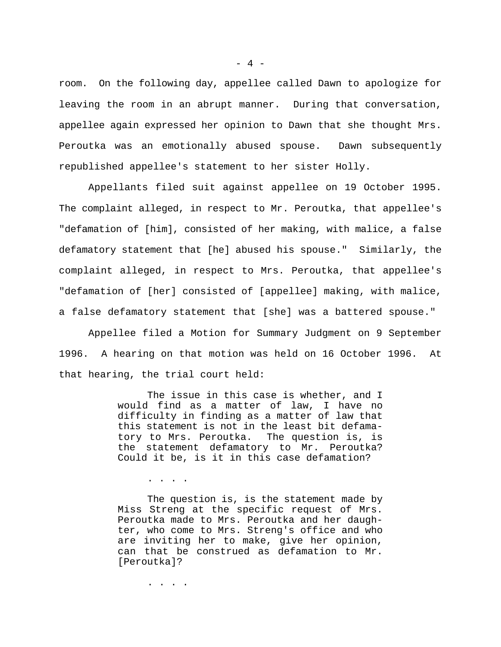room. On the following day, appellee called Dawn to apologize for leaving the room in an abrupt manner. During that conversation, appellee again expressed her opinion to Dawn that she thought Mrs. Peroutka was an emotionally abused spouse. Dawn subsequently republished appellee's statement to her sister Holly.

Appellants filed suit against appellee on 19 October 1995. The complaint alleged, in respect to Mr. Peroutka, that appellee's "defamation of [him], consisted of her making, with malice, a false defamatory statement that [he] abused his spouse." Similarly, the complaint alleged, in respect to Mrs. Peroutka, that appellee's "defamation of [her] consisted of [appellee] making, with malice, a false defamatory statement that [she] was a battered spouse."

Appellee filed a Motion for Summary Judgment on 9 September 1996. A hearing on that motion was held on 16 October 1996. At that hearing, the trial court held:

> The issue in this case is whether, and I would find as a matter of law, I have no difficulty in finding as a matter of law that this statement is not in the least bit defamatory to Mrs. Peroutka. The question is, is the statement defamatory to Mr. Peroutka? Could it be, is it in this case defamation?

> The question is, is the statement made by Miss Streng at the specific request of Mrs. Peroutka made to Mrs. Peroutka and her daughter, who come to Mrs. Streng's office and who are inviting her to make, give her opinion, can that be construed as defamation to Mr. [Peroutka]?

> > . . . . . . . . . . . . . . . . . .  $\mathbf{r}$

. . . .

 $- 4 -$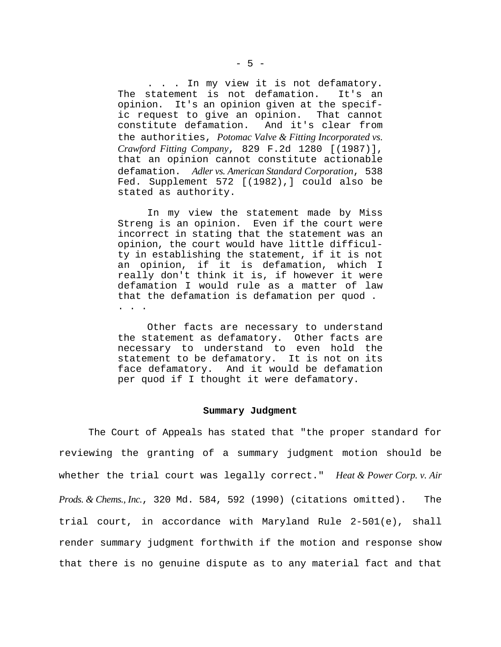. . . In my view it is not defamatory. The statement is not defamation. It's an opinion. It's an opinion given at the specific request to give an opinion. That cannot constitute defamation. And it's clear from the authorities, *Potomac Valve & Fitting Incorporated vs. Crawford Fitting Company*, 829 F.2d 1280 [(1987)], that an opinion cannot constitute actionable defamation. *Adler vs. American Standard Corporation*, 538 Fed. Supplement 572 [(1982),] could also be stated as authority.

In my view the statement made by Miss Streng is an opinion. Even if the court were incorrect in stating that the statement was an opinion, the court would have little difficulty in establishing the statement, if it is not an opinion, if it is defamation, which I really don't think it is, if however it were defamation I would rule as a matter of law that the defamation is defamation per quod . . . .

Other facts are necessary to understand the statement as defamatory. Other facts are necessary to understand to even hold the statement to be defamatory. It is not on its face defamatory. And it would be defamation per quod if I thought it were defamatory.

## **Summary Judgment**

The Court of Appeals has stated that "the proper standard for reviewing the granting of a summary judgment motion should be whether the trial court was legally correct." *Heat & Power Corp. v. Air Prods. & Chems., Inc.*, 320 Md. 584, 592 (1990) (citations omitted). The trial court, in accordance with Maryland Rule 2-501(e), shall render summary judgment forthwith if the motion and response show that there is no genuine dispute as to any material fact and that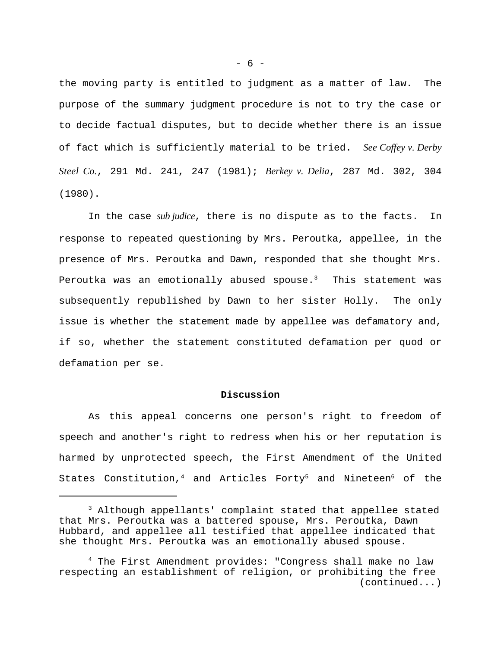the moving party is entitled to judgment as a matter of law. The purpose of the summary judgment procedure is not to try the case or to decide factual disputes, but to decide whether there is an issue of fact which is sufficiently material to be tried. *See Coffey v. Derby Steel Co.*, 291 Md. 241, 247 (1981); *Berkey v. Delia*, 287 Md. 302, 304 (1980).

In the case *sub judice*, there is no dispute as to the facts. In response to repeated questioning by Mrs. Peroutka, appellee, in the presence of Mrs. Peroutka and Dawn, responded that she thought Mrs. Peroutka was an emotionally abused spouse. $3$  This statement was subsequently republished by Dawn to her sister Holly. The only issue is whether the statement made by appellee was defamatory and, if so, whether the statement constituted defamation per quod or defamation per se.

## **Discussion**

As this appeal concerns one person's right to freedom of speech and another's right to redress when his or her reputation is harmed by unprotected speech, the First Amendment of the United States Constitution,<sup>4</sup> and Articles Forty<sup>5</sup> and Nineteen<sup>6</sup> of the

- 6 -

<sup>&</sup>lt;sup>3</sup> Although appellants' complaint stated that appellee stated that Mrs. Peroutka was a battered spouse, Mrs. Peroutka, Dawn Hubbard, and appellee all testified that appellee indicated that she thought Mrs. Peroutka was an emotionally abused spouse.

 $4$  The First Amendment provides: "Congress shall make no law respecting an establishment of religion, or prohibiting the free (continued...)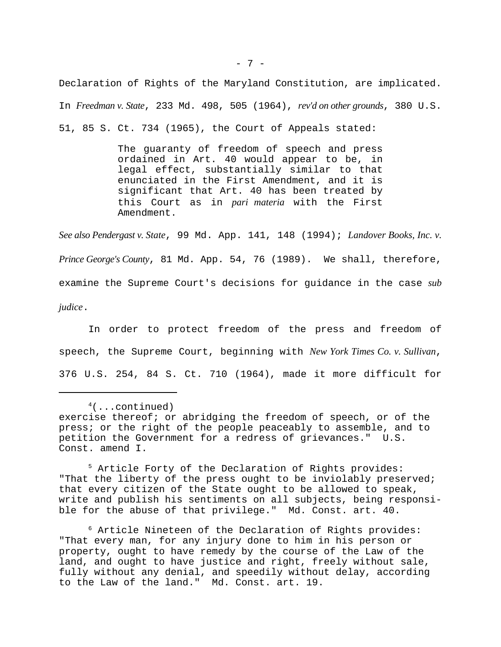Declaration of Rights of the Maryland Constitution, are implicated. In *Freedman v. State*, 233 Md. 498, 505 (1964), *rev'd on other grounds*, 380 U.S. 51, 85 S. Ct. 734 (1965), the Court of Appeals stated:

> The guaranty of freedom of speech and press ordained in Art. 40 would appear to be, in legal effect, substantially similar to that enunciated in the First Amendment, and it is significant that Art. 40 has been treated by this Court as in *pari materia* with the First Amendment.

*See also Pendergast v. State*, 99 Md. App. 141, 148 (1994); *Landover Books, Inc. v. Prince George's County*, 81 Md. App. 54, 76 (1989). We shall, therefore, examine the Supreme Court's decisions for guidance in the case *sub judice*.

In order to protect freedom of the press and freedom of speech, the Supreme Court, beginning with *New York Times Co. v. Sullivan*, 376 U.S. 254, 84 S. Ct. 710 (1964), made it more difficult for

 $5$  Article Forty of the Declaration of Rights provides: "That the liberty of the press ought to be inviolably preserved; that every citizen of the State ought to be allowed to speak, write and publish his sentiments on all subjects, being responsible for the abuse of that privilege." Md. Const. art. 40.

 $6$  Article Nineteen of the Declaration of Rights provides: "That every man, for any injury done to him in his person or property, ought to have remedy by the course of the Law of the land, and ought to have justice and right, freely without sale, fully without any denial, and speedily without delay, according to the Law of the land." Md. Const. art. 19.

 $4$ (...continued) exercise thereof; or abridging the freedom of speech, or of the press; or the right of the people peaceably to assemble, and to petition the Government for a redress of grievances." U.S. Const. amend I.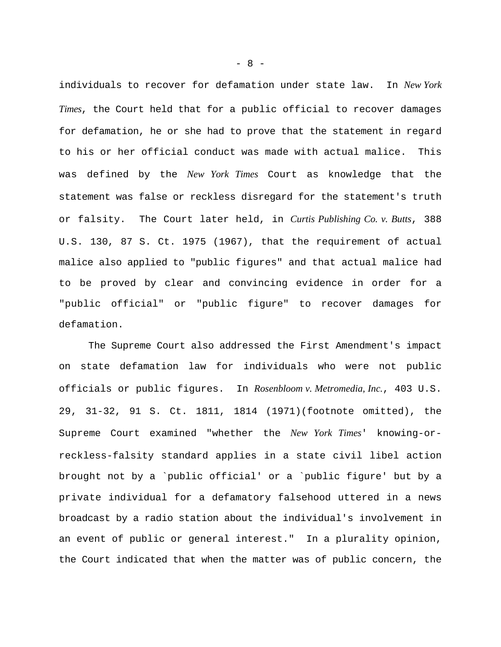individuals to recover for defamation under state law. In *New York Times*, the Court held that for a public official to recover damages for defamation, he or she had to prove that the statement in regard to his or her official conduct was made with actual malice. This was defined by the *New York Times* Court as knowledge that the statement was false or reckless disregard for the statement's truth or falsity. The Court later held, in *Curtis Publishing Co. v. Butts*, 388 U.S. 130, 87 S. Ct. 1975 (1967), that the requirement of actual malice also applied to "public figures" and that actual malice had to be proved by clear and convincing evidence in order for a "public official" or "public figure" to recover damages for defamation.

The Supreme Court also addressed the First Amendment's impact on state defamation law for individuals who were not public officials or public figures. In *Rosenbloom v. Metromedia, Inc.*, 403 U.S. 29, 31-32, 91 S. Ct. 1811, 1814 (1971)(footnote omitted), the Supreme Court examined "whether the *New York Times*' knowing-orreckless-falsity standard applies in a state civil libel action brought not by a `public official' or a `public figure' but by a private individual for a defamatory falsehood uttered in a news broadcast by a radio station about the individual's involvement in an event of public or general interest." In a plurality opinion, the Court indicated that when the matter was of public concern, the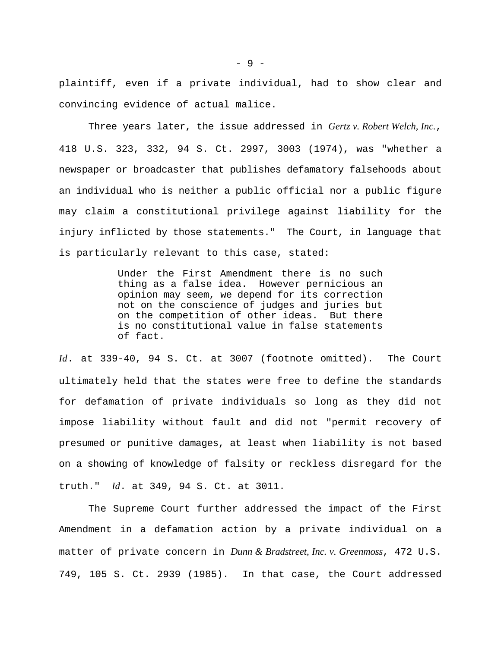plaintiff, even if a private individual, had to show clear and convincing evidence of actual malice.

Three years later, the issue addressed in *Gertz v. Robert Welch, Inc.*, 418 U.S. 323, 332, 94 S. Ct. 2997, 3003 (1974), was "whether a newspaper or broadcaster that publishes defamatory falsehoods about an individual who is neither a public official nor a public figure may claim a constitutional privilege against liability for the injury inflicted by those statements." The Court, in language that is particularly relevant to this case, stated:

> Under the First Amendment there is no such thing as a false idea. However pernicious an opinion may seem, we depend for its correction not on the conscience of judges and juries but on the competition of other ideas. But there is no constitutional value in false statements of fact.

*Id*. at 339-40, 94 S. Ct. at 3007 (footnote omitted). The Court ultimately held that the states were free to define the standards for defamation of private individuals so long as they did not impose liability without fault and did not "permit recovery of presumed or punitive damages, at least when liability is not based on a showing of knowledge of falsity or reckless disregard for the truth." *Id*. at 349, 94 S. Ct. at 3011.

The Supreme Court further addressed the impact of the First Amendment in a defamation action by a private individual on a matter of private concern in *Dunn & Bradstreet, Inc. v. Greenmoss*, 472 U.S. 749, 105 S. Ct. 2939 (1985). In that case, the Court addressed

- 9 -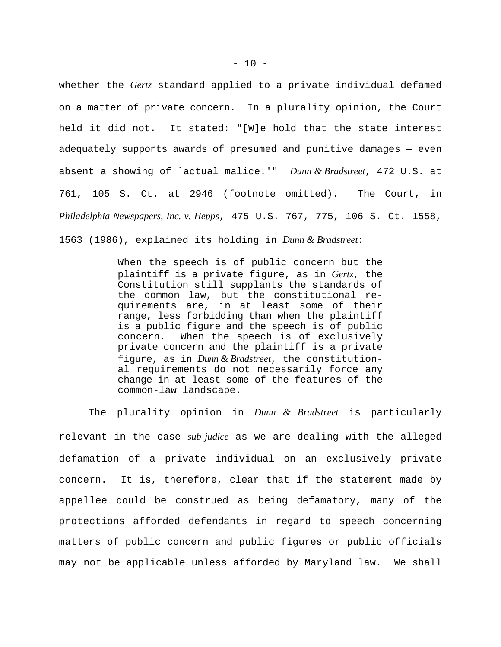whether the *Gertz* standard applied to a private individual defamed on a matter of private concern. In a plurality opinion, the Court held it did not. It stated: "[W]e hold that the state interest adequately supports awards of presumed and punitive damages — even absent a showing of `actual malice.'" *Dunn & Bradstreet*, 472 U.S. at 761, 105 S. Ct. at 2946 (footnote omitted). The Court, in *Philadelphia Newspapers, Inc. v. Hepps*, 475 U.S. 767, 775, 106 S. Ct. 1558, 1563 (1986), explained its holding in *Dunn & Bradstreet*:

> When the speech is of public concern but the plaintiff is a private figure, as in *Gertz*, the Constitution still supplants the standards of the common law, but the constitutional requirements are, in at least some of their range, less forbidding than when the plaintiff is a public figure and the speech is of public concern. When the speech is of exclusively private concern and the plaintiff is a private figure, as in *Dunn & Bradstreet*, the constitutional requirements do not necessarily force any change in at least some of the features of the common-law landscape.

The plurality opinion in *Dunn & Bradstreet* is particularly relevant in the case *sub judice* as we are dealing with the alleged defamation of a private individual on an exclusively private concern. It is, therefore, clear that if the statement made by appellee could be construed as being defamatory, many of the protections afforded defendants in regard to speech concerning matters of public concern and public figures or public officials may not be applicable unless afforded by Maryland law. We shall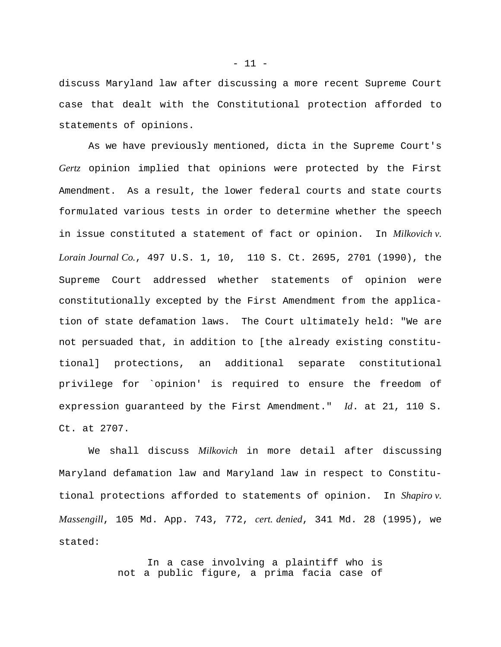discuss Maryland law after discussing a more recent Supreme Court case that dealt with the Constitutional protection afforded to statements of opinions.

As we have previously mentioned, dicta in the Supreme Court's *Gertz* opinion implied that opinions were protected by the First Amendment. As a result, the lower federal courts and state courts formulated various tests in order to determine whether the speech in issue constituted a statement of fact or opinion. In *Milkovich v. Lorain Journal Co.*, 497 U.S. 1, 10, 110 S. Ct. 2695, 2701 (1990), the Supreme Court addressed whether statements of opinion were constitutionally excepted by the First Amendment from the application of state defamation laws. The Court ultimately held: "We are not persuaded that, in addition to [the already existing constitutional] protections, an additional separate constitutional privilege for `opinion' is required to ensure the freedom of expression guaranteed by the First Amendment." *Id*. at 21, 110 S. Ct. at 2707.

We shall discuss *Milkovich* in more detail after discussing Maryland defamation law and Maryland law in respect to Constitutional protections afforded to statements of opinion. In *Shapiro v. Massengill*, 105 Md. App. 743, 772, *cert. denied*, 341 Md. 28 (1995), we stated:

> In a case involving a plaintiff who is not a public figure, a prima facia case of

 $- 11 -$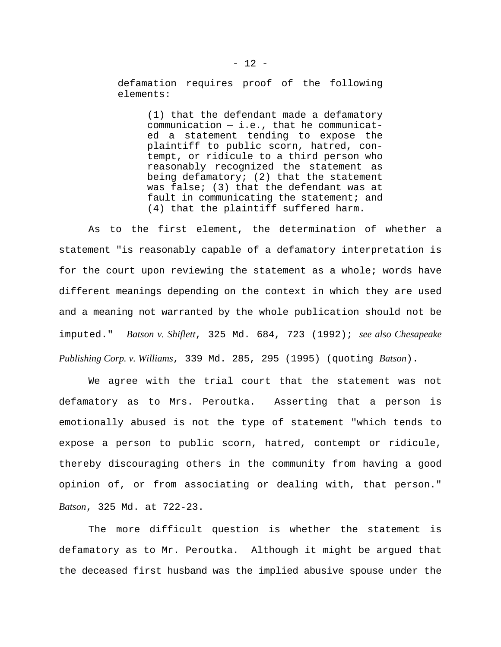defamation requires proof of the following elements:

> (1) that the defendant made a defamatory communication — i.e., that he communicated a statement tending to expose the plaintiff to public scorn, hatred, contempt, or ridicule to a third person who reasonably recognized the statement as being defamatory; (2) that the statement was false; (3) that the defendant was at fault in communicating the statement; and (4) that the plaintiff suffered harm.

As to the first element, the determination of whether a statement "is reasonably capable of a defamatory interpretation is for the court upon reviewing the statement as a whole; words have different meanings depending on the context in which they are used and a meaning not warranted by the whole publication should not be imputed." *Batson v. Shiflett*, 325 Md. 684, 723 (1992); *see also Chesapeake Publishing Corp. v. Williams*, 339 Md. 285, 295 (1995) (quoting *Batson*).

We agree with the trial court that the statement was not defamatory as to Mrs. Peroutka. Asserting that a person is emotionally abused is not the type of statement "which tends to expose a person to public scorn, hatred, contempt or ridicule, thereby discouraging others in the community from having a good opinion of, or from associating or dealing with, that person." *Batson*, 325 Md. at 722-23.

The more difficult question is whether the statement is defamatory as to Mr. Peroutka. Although it might be argued that the deceased first husband was the implied abusive spouse under the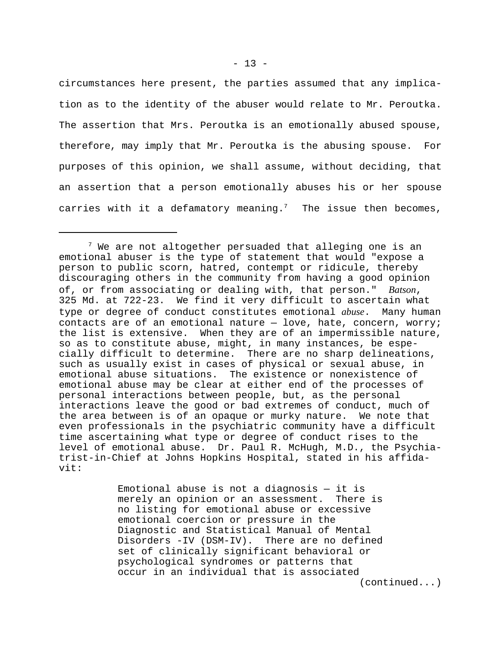circumstances here present, the parties assumed that any implication as to the identity of the abuser would relate to Mr. Peroutka. The assertion that Mrs. Peroutka is an emotionally abused spouse, therefore, may imply that Mr. Peroutka is the abusing spouse. For purposes of this opinion, we shall assume, without deciding, that an assertion that a person emotionally abuses his or her spouse carries with it a defamatory meaning.<sup>7</sup> The issue then becomes,

Emotional abuse is not a diagnosis  $-$  it is merely an opinion or an assessment. There is no listing for emotional abuse or excessive emotional coercion or pressure in the Diagnostic and Statistical Manual of Mental Disorders -IV (DSM-IV). There are no defined set of clinically significant behavioral or psychological syndromes or patterns that occur in an individual that is associated

(continued...)

 $7$  We are not altogether persuaded that alleging one is an emotional abuser is the type of statement that would "expose a person to public scorn, hatred, contempt or ridicule, thereby discouraging others in the community from having a good opinion of, or from associating or dealing with, that person." *Batson*, 325 Md. at 722-23. We find it very difficult to ascertain what type or degree of conduct constitutes emotional *abuse*. Many human contacts are of an emotional nature — love, hate, concern, worry; the list is extensive. When they are of an impermissible nature, so as to constitute abuse, might, in many instances, be especially difficult to determine. There are no sharp delineations, such as usually exist in cases of physical or sexual abuse, in emotional abuse situations. The existence or nonexistence of emotional abuse may be clear at either end of the processes of personal interactions between people, but, as the personal interactions leave the good or bad extremes of conduct, much of the area between is of an opaque or murky nature. We note that even professionals in the psychiatric community have a difficult time ascertaining what type or degree of conduct rises to the level of emotional abuse. Dr. Paul R. McHugh, M.D., the Psychiatrist-in-Chief at Johns Hopkins Hospital, stated in his affidavit: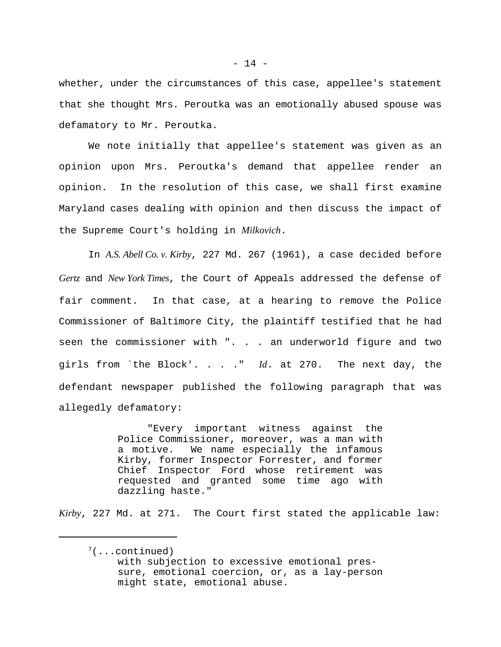whether, under the circumstances of this case, appellee's statement that she thought Mrs. Peroutka was an emotionally abused spouse was defamatory to Mr. Peroutka.

We note initially that appellee's statement was given as an opinion upon Mrs. Peroutka's demand that appellee render an opinion. In the resolution of this case, we shall first examine Maryland cases dealing with opinion and then discuss the impact of the Supreme Court's holding in *Milkovich*.

In *A.S. Abell Co. v. Kirby*, 227 Md. 267 (1961), a case decided before *Gertz* and *New York Times*, the Court of Appeals addressed the defense of fair comment. In that case, at a hearing to remove the Police Commissioner of Baltimore City, the plaintiff testified that he had seen the commissioner with ". . . an underworld figure and two girls from `the Block'. . . ." *Id*. at 270. The next day, the defendant newspaper published the following paragraph that was allegedly defamatory:

> "Every important witness against the Police Commissioner, moreover, was a man with a motive. We name especially the infamous Kirby, former Inspector Forrester, and former Chief Inspector Ford whose retirement was requested and granted some time ago with dazzling haste."

*Kirby*, 227 Md. at 271. The Court first stated the applicable law:

 $7($ ...continued) with subjection to excessive emotional pressure, emotional coercion, or, as a lay-person might state, emotional abuse.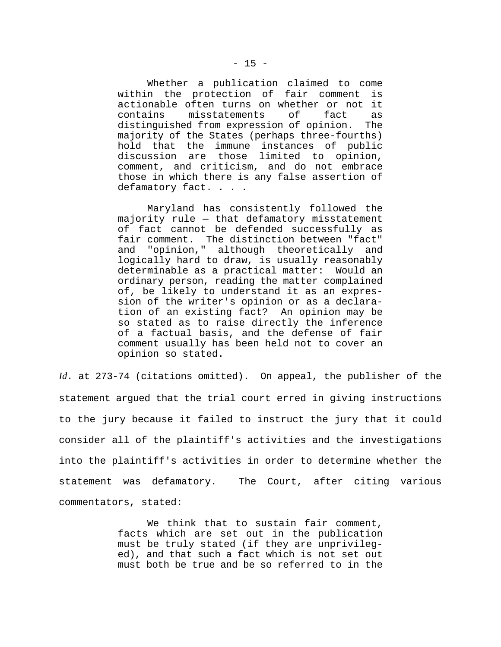Whether a publication claimed to come within the protection of fair comment is actionable often turns on whether or not it contains misstatements of fact as distinguished from expression of opinion. The majority of the States (perhaps three-fourths) hold that the immune instances of public discussion are those limited to opinion, comment, and criticism, and do not embrace those in which there is any false assertion of defamatory fact. . . .

Maryland has consistently followed the majority rule — that defamatory misstatement of fact cannot be defended successfully as fair comment. The distinction between "fact" and "opinion," although theoretically and logically hard to draw, is usually reasonably determinable as a practical matter: Would an ordinary person, reading the matter complained of, be likely to understand it as an expression of the writer's opinion or as a declaration of an existing fact? An opinion may be so stated as to raise directly the inference of a factual basis, and the defense of fair comment usually has been held not to cover an opinion so stated.

*Id*. at 273-74 (citations omitted). On appeal, the publisher of the statement argued that the trial court erred in giving instructions to the jury because it failed to instruct the jury that it could consider all of the plaintiff's activities and the investigations into the plaintiff's activities in order to determine whether the statement was defamatory. The Court, after citing various commentators, stated:

> We think that to sustain fair comment, facts which are set out in the publication must be truly stated (if they are unprivileged), and that such a fact which is not set out must both be true and be so referred to in the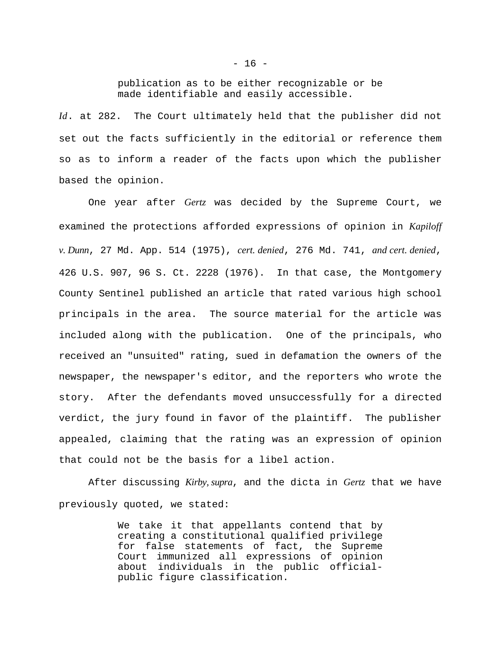publication as to be either recognizable or be made identifiable and easily accessible.

*Id*. at 282. The Court ultimately held that the publisher did not set out the facts sufficiently in the editorial or reference them so as to inform a reader of the facts upon which the publisher based the opinion.

One year after *Gertz* was decided by the Supreme Court, we examined the protections afforded expressions of opinion in *Kapiloff v. Dunn*, 27 Md. App. 514 (1975), *cert. denied*, 276 Md. 741, *and cert. denied*, 426 U.S. 907, 96 S. Ct. 2228 (1976). In that case, the Montgomery County Sentinel published an article that rated various high school principals in the area. The source material for the article was included along with the publication. One of the principals, who received an "unsuited" rating, sued in defamation the owners of the newspaper, the newspaper's editor, and the reporters who wrote the story. After the defendants moved unsuccessfully for a directed verdict, the jury found in favor of the plaintiff. The publisher appealed, claiming that the rating was an expression of opinion that could not be the basis for a libel action.

After discussing *Kirby, supra*, and the dicta in *Gertz* that we have previously quoted, we stated:

> We take it that appellants contend that by creating a constitutional qualified privilege for false statements of fact, the Supreme Court immunized all expressions of opinion about individuals in the public officialpublic figure classification.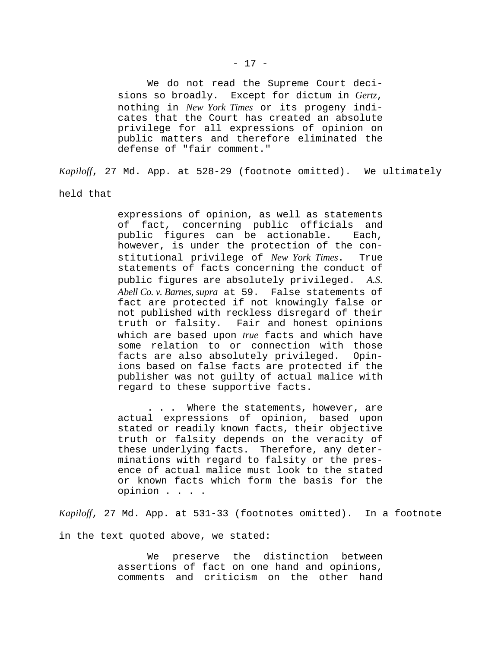We do not read the Supreme Court decisions so broadly. Except for dictum in *Gertz*, nothing in *New York Times* or its progeny indicates that the Court has created an absolute privilege for all expressions of opinion on public matters and therefore eliminated the defense of "fair comment."

*Kapiloff*, 27 Md. App. at 528-29 (footnote omitted). We ultimately

held that

expressions of opinion, as well as statements of fact, concerning public officials and public figures can be actionable. Each, however, is under the protection of the constitutional privilege of *New York Times*. True statements of facts concerning the conduct of public figures are absolutely privileged. *A.S. Abell Co. v. Barnes, supra* at 59. False statements of fact are protected if not knowingly false or not published with reckless disregard of their truth or falsity. Fair and honest opinions which are based upon *true* facts and which have some relation to or connection with those facts are also absolutely privileged. Opinions based on false facts are protected if the publisher was not guilty of actual malice with regard to these supportive facts.

. . . Where the statements, however, are actual expressions of opinion, based upon stated or readily known facts, their objective truth or falsity depends on the veracity of these underlying facts. Therefore, any determinations with regard to falsity or the presence of actual malice must look to the stated or known facts which form the basis for the opinion . . . .

*Kapiloff*, 27 Md. App. at 531-33 (footnotes omitted). In a footnote

in the text quoted above, we stated:

We preserve the distinction between assertions of fact on one hand and opinions, comments and criticism on the other hand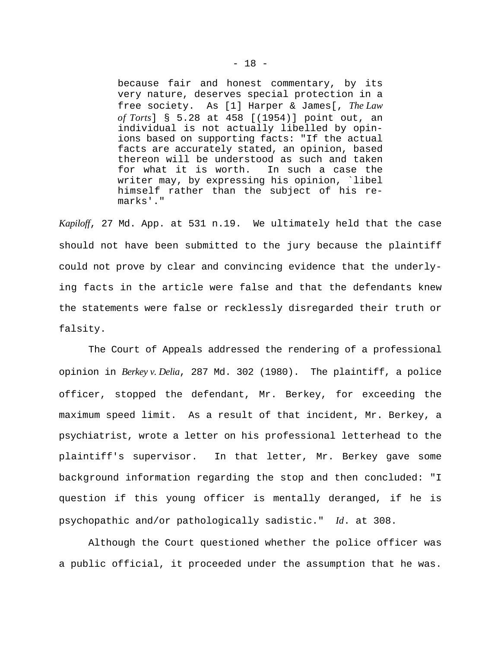because fair and honest commentary, by its very nature, deserves special protection in a free society. As [1] Harper & James[, *The Law of Torts*] § 5.28 at 458 [(1954)] point out, an individual is not actually libelled by opinions based on supporting facts: "If the actual facts are accurately stated, an opinion, based thereon will be understood as such and taken for what it is worth. In such a case the writer may, by expressing his opinion, `libel himself rather than the subject of his remarks'."

*Kapiloff*, 27 Md. App. at 531 n.19. We ultimately held that the case should not have been submitted to the jury because the plaintiff could not prove by clear and convincing evidence that the underlying facts in the article were false and that the defendants knew the statements were false or recklessly disregarded their truth or falsity.

The Court of Appeals addressed the rendering of a professional opinion in *Berkey v. Delia*, 287 Md. 302 (1980). The plaintiff, a police officer, stopped the defendant, Mr. Berkey, for exceeding the maximum speed limit. As a result of that incident, Mr. Berkey, a psychiatrist, wrote a letter on his professional letterhead to the plaintiff's supervisor. In that letter, Mr. Berkey gave some background information regarding the stop and then concluded: "I question if this young officer is mentally deranged, if he is psychopathic and/or pathologically sadistic." *Id*. at 308.

Although the Court questioned whether the police officer was a public official, it proceeded under the assumption that he was.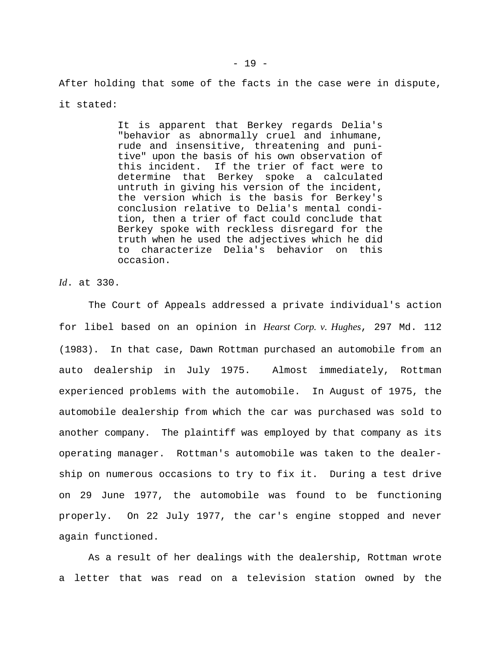After holding that some of the facts in the case were in dispute, it stated:

> It is apparent that Berkey regards Delia's "behavior as abnormally cruel and inhumane, rude and insensitive, threatening and punitive" upon the basis of his own observation of this incident. If the trier of fact were to determine that Berkey spoke a calculated untruth in giving his version of the incident, the version which is the basis for Berkey's conclusion relative to Delia's mental condition, then a trier of fact could conclude that Berkey spoke with reckless disregard for the truth when he used the adjectives which he did to characterize Delia's behavior on this occasion.

*Id*. at 330.

The Court of Appeals addressed a private individual's action for libel based on an opinion in *Hearst Corp. v. Hughes*, 297 Md. 112 (1983). In that case, Dawn Rottman purchased an automobile from an auto dealership in July 1975. Almost immediately, Rottman experienced problems with the automobile. In August of 1975, the automobile dealership from which the car was purchased was sold to another company. The plaintiff was employed by that company as its operating manager. Rottman's automobile was taken to the dealership on numerous occasions to try to fix it. During a test drive on 29 June 1977, the automobile was found to be functioning properly. On 22 July 1977, the car's engine stopped and never again functioned.

As a result of her dealings with the dealership, Rottman wrote a letter that was read on a television station owned by the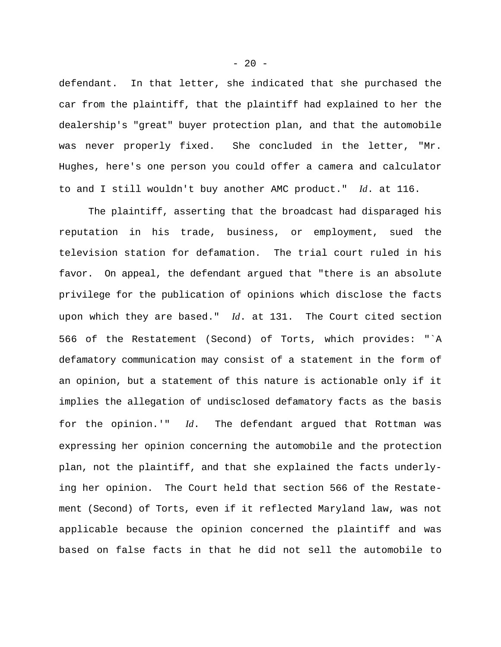defendant. In that letter, she indicated that she purchased the car from the plaintiff, that the plaintiff had explained to her the dealership's "great" buyer protection plan, and that the automobile was never properly fixed. She concluded in the letter, "Mr. Hughes, here's one person you could offer a camera and calculator to and I still wouldn't buy another AMC product." *Id*. at 116.

The plaintiff, asserting that the broadcast had disparaged his reputation in his trade, business, or employment, sued the television station for defamation. The trial court ruled in his favor. On appeal, the defendant argued that "there is an absolute privilege for the publication of opinions which disclose the facts upon which they are based." *Id*. at 131. The Court cited section 566 of the Restatement (Second) of Torts, which provides: "`A defamatory communication may consist of a statement in the form of an opinion, but a statement of this nature is actionable only if it implies the allegation of undisclosed defamatory facts as the basis for the opinion.'" *Id*. The defendant argued that Rottman was expressing her opinion concerning the automobile and the protection plan, not the plaintiff, and that she explained the facts underlying her opinion. The Court held that section 566 of the Restatement (Second) of Torts, even if it reflected Maryland law, was not applicable because the opinion concerned the plaintiff and was based on false facts in that he did not sell the automobile to

 $- 20 -$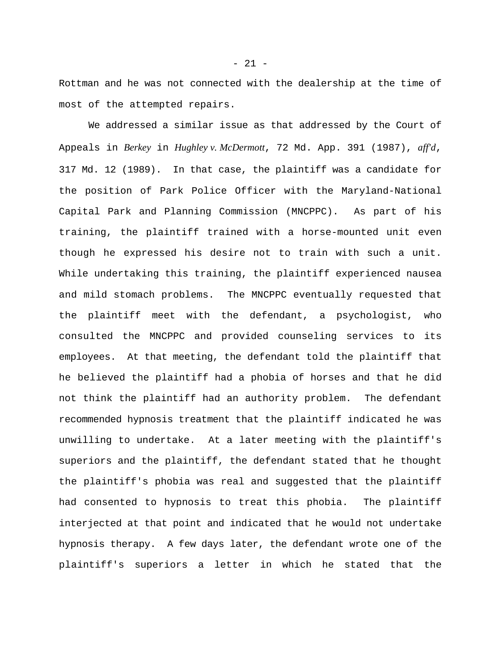Rottman and he was not connected with the dealership at the time of most of the attempted repairs.

We addressed a similar issue as that addressed by the Court of Appeals in *Berkey* in *Hughley v. McDermott*, 72 Md. App. 391 (1987), *aff'd*, 317 Md. 12 (1989). In that case, the plaintiff was a candidate for the position of Park Police Officer with the Maryland-National Capital Park and Planning Commission (MNCPPC). As part of his training, the plaintiff trained with a horse-mounted unit even though he expressed his desire not to train with such a unit. While undertaking this training, the plaintiff experienced nausea and mild stomach problems. The MNCPPC eventually requested that the plaintiff meet with the defendant, a psychologist, who consulted the MNCPPC and provided counseling services to its employees. At that meeting, the defendant told the plaintiff that he believed the plaintiff had a phobia of horses and that he did not think the plaintiff had an authority problem. The defendant recommended hypnosis treatment that the plaintiff indicated he was unwilling to undertake. At a later meeting with the plaintiff's superiors and the plaintiff, the defendant stated that he thought the plaintiff's phobia was real and suggested that the plaintiff had consented to hypnosis to treat this phobia. The plaintiff interjected at that point and indicated that he would not undertake hypnosis therapy. A few days later, the defendant wrote one of the plaintiff's superiors a letter in which he stated that the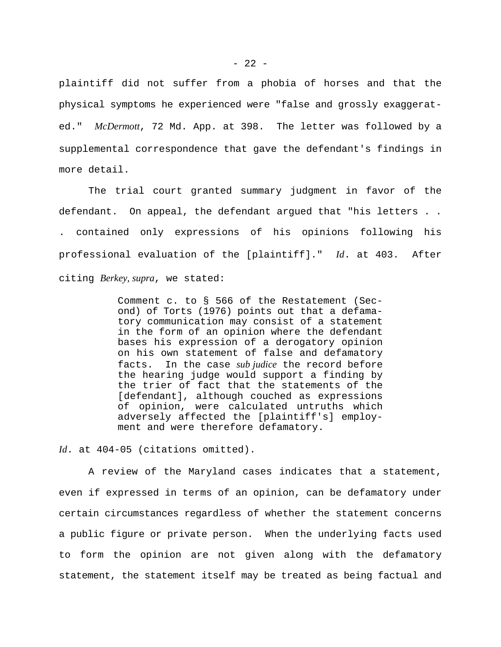plaintiff did not suffer from a phobia of horses and that the physical symptoms he experienced were "false and grossly exaggerated." *McDermott*, 72 Md. App. at 398. The letter was followed by a supplemental correspondence that gave the defendant's findings in more detail.

The trial court granted summary judgment in favor of the defendant. On appeal, the defendant argued that "his letters . . . contained only expressions of his opinions following his professional evaluation of the [plaintiff]." *Id*. at 403. After citing *Berkey, supra*, we stated:

> Comment c. to § 566 of the Restatement (Second) of Torts (1976) points out that a defamatory communication may consist of a statement in the form of an opinion where the defendant bases his expression of a derogatory opinion on his own statement of false and defamatory facts. In the case *sub judice* the record before the hearing judge would support a finding by the trier of fact that the statements of the [defendant], although couched as expressions of opinion, were calculated untruths which adversely affected the [plaintiff's] employment and were therefore defamatory.

*Id*. at 404-05 (citations omitted).

A review of the Maryland cases indicates that a statement, even if expressed in terms of an opinion, can be defamatory under certain circumstances regardless of whether the statement concerns a public figure or private person. When the underlying facts used to form the opinion are not given along with the defamatory statement, the statement itself may be treated as being factual and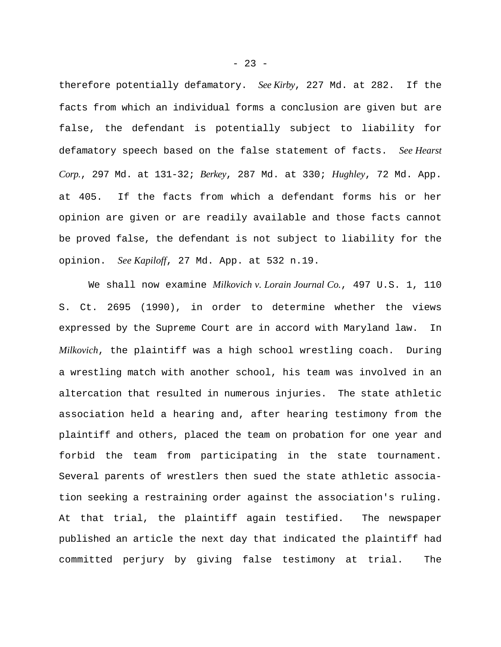therefore potentially defamatory. *See Kirby*, 227 Md. at 282. If the facts from which an individual forms a conclusion are given but are false, the defendant is potentially subject to liability for defamatory speech based on the false statement of facts. *See Hearst Corp.*, 297 Md. at 131-32; *Berkey*, 287 Md. at 330; *Hughley*, 72 Md. App. at 405. If the facts from which a defendant forms his or her opinion are given or are readily available and those facts cannot be proved false, the defendant is not subject to liability for the opinion. *See Kapiloff*, 27 Md. App. at 532 n.19.

We shall now examine *Milkovich v. Lorain Journal Co.*, 497 U.S. 1, 110 S. Ct. 2695 (1990), in order to determine whether the views expressed by the Supreme Court are in accord with Maryland law. In *Milkovich*, the plaintiff was a high school wrestling coach. During a wrestling match with another school, his team was involved in an altercation that resulted in numerous injuries. The state athletic association held a hearing and, after hearing testimony from the plaintiff and others, placed the team on probation for one year and forbid the team from participating in the state tournament. Several parents of wrestlers then sued the state athletic association seeking a restraining order against the association's ruling. At that trial, the plaintiff again testified. The newspaper published an article the next day that indicated the plaintiff had committed perjury by giving false testimony at trial. The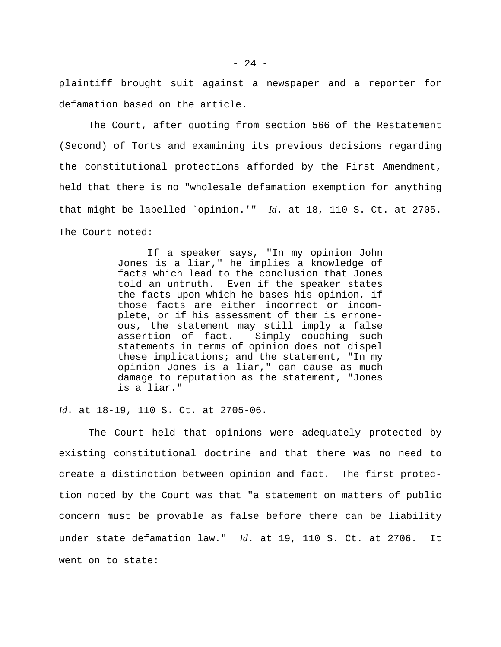plaintiff brought suit against a newspaper and a reporter for defamation based on the article.

The Court, after quoting from section 566 of the Restatement (Second) of Torts and examining its previous decisions regarding the constitutional protections afforded by the First Amendment, held that there is no "wholesale defamation exemption for anything that might be labelled `opinion.'" *Id*. at 18, 110 S. Ct. at 2705. The Court noted:

> If a speaker says, "In my opinion John Jones is a liar," he implies a knowledge of facts which lead to the conclusion that Jones told an untruth. Even if the speaker states the facts upon which he bases his opinion, if those facts are either incorrect or incomplete, or if his assessment of them is erroneous, the statement may still imply a false assertion of fact. Simply couching such statements in terms of opinion does not dispel these implications; and the statement, "In my opinion Jones is a liar," can cause as much damage to reputation as the statement, "Jones is a liar."

*Id*. at 18-19, 110 S. Ct. at 2705-06.

The Court held that opinions were adequately protected by existing constitutional doctrine and that there was no need to create a distinction between opinion and fact. The first protection noted by the Court was that "a statement on matters of public concern must be provable as false before there can be liability under state defamation law." *Id*. at 19, 110 S. Ct. at 2706. It went on to state: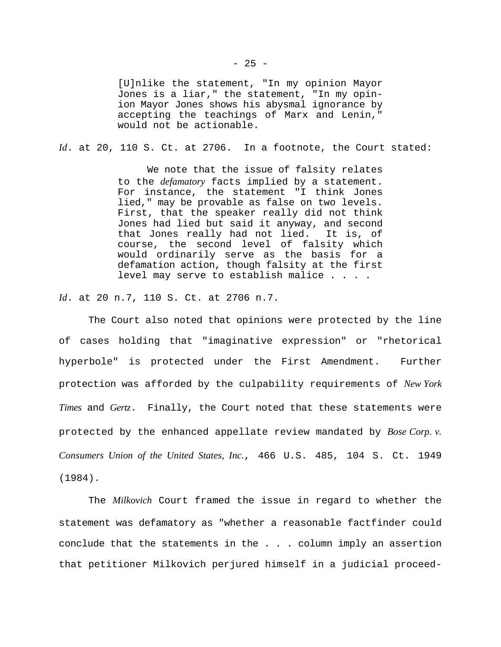[U]nlike the statement, "In my opinion Mayor Jones is a liar," the statement, "In my opinion Mayor Jones shows his abysmal ignorance by accepting the teachings of Marx and Lenin," would not be actionable.

*Id*. at 20, 110 S. Ct. at 2706. In a footnote, the Court stated:

We note that the issue of falsity relates to the *defamatory* facts implied by a statement. For instance, the statement "I think Jones lied," may be provable as false on two levels. First, that the speaker really did not think Jones had lied but said it anyway, and second that Jones really had not lied. It is, of course, the second level of falsity which would ordinarily serve as the basis for a defamation action, though falsity at the first level may serve to establish malice . . . .

*Id*. at 20 n.7, 110 S. Ct. at 2706 n.7.

The Court also noted that opinions were protected by the line of cases holding that "imaginative expression" or "rhetorical hyperbole" is protected under the First Amendment. Further protection was afforded by the culpability requirements of *New York Times* and *Gertz*. Finally, the Court noted that these statements were protected by the enhanced appellate review mandated by *Bose Corp. v. Consumers Union of the United States, Inc.*, 466 U.S. 485, 104 S. Ct. 1949 (1984).

The *Milkovich* Court framed the issue in regard to whether the statement was defamatory as "whether a reasonable factfinder could conclude that the statements in the . . . column imply an assertion that petitioner Milkovich perjured himself in a judicial proceed-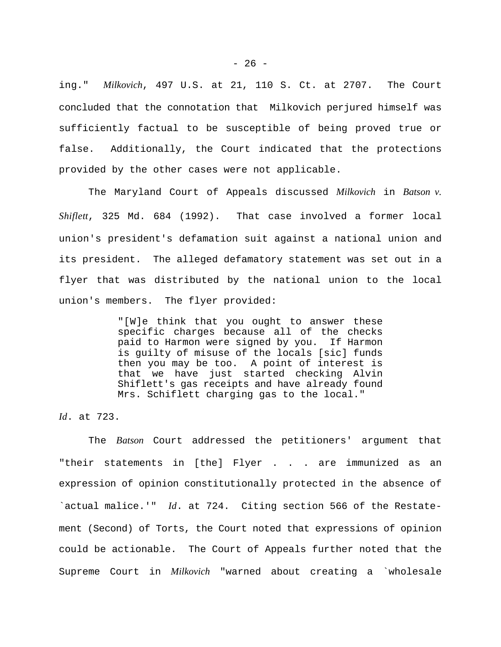ing." *Milkovich*, 497 U.S. at 21, 110 S. Ct. at 2707. The Court concluded that the connotation that Milkovich perjured himself was sufficiently factual to be susceptible of being proved true or false. Additionally, the Court indicated that the protections provided by the other cases were not applicable.

The Maryland Court of Appeals discussed *Milkovich* in *Batson v. Shiflett*, 325 Md. 684 (1992). That case involved a former local union's president's defamation suit against a national union and its president. The alleged defamatory statement was set out in a flyer that was distributed by the national union to the local union's members. The flyer provided:

> "[W]e think that you ought to answer these specific charges because all of the checks paid to Harmon were signed by you. If Harmon is guilty of misuse of the locals [sic] funds then you may be too. A point of interest is that we have just started checking Alvin Shiflett's gas receipts and have already found Mrs. Schiflett charging gas to the local."

*Id*. at 723.

The *Batson* Court addressed the petitioners' argument that "their statements in [the] Flyer . . . are immunized as an expression of opinion constitutionally protected in the absence of `actual malice.'" *Id*. at 724. Citing section 566 of the Restatement (Second) of Torts, the Court noted that expressions of opinion could be actionable. The Court of Appeals further noted that the Supreme Court in *Milkovich* "warned about creating a `wholesale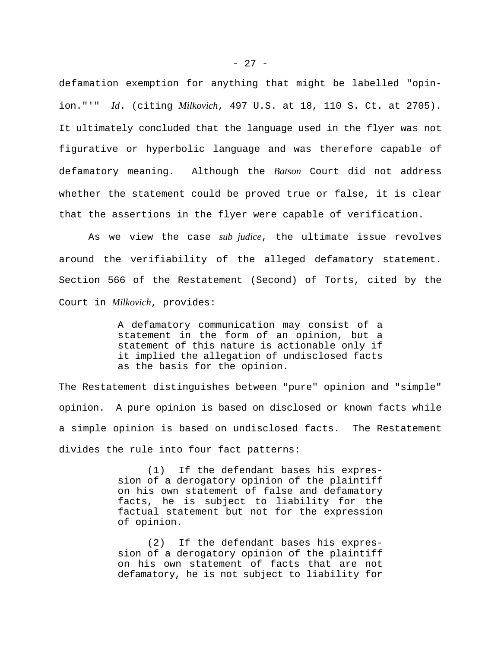defamation exemption for anything that might be labelled "opinion."'" *Id*. (citing *Milkovich*, 497 U.S. at 18, 110 S. Ct. at 2705). It ultimately concluded that the language used in the flyer was not figurative or hyperbolic language and was therefore capable of defamatory meaning. Although the *Batson* Court did not address whether the statement could be proved true or false, it is clear that the assertions in the flyer were capable of verification.

As we view the case *sub judice*, the ultimate issue revolves around the verifiability of the alleged defamatory statement. Section 566 of the Restatement (Second) of Torts, cited by the Court in *Milkovich*, provides:

> A defamatory communication may consist of a statement in the form of an opinion, but a statement of this nature is actionable only if it implied the allegation of undisclosed facts as the basis for the opinion.

The Restatement distinguishes between "pure" opinion and "simple" opinion. A pure opinion is based on disclosed or known facts while a simple opinion is based on undisclosed facts. The Restatement divides the rule into four fact patterns:

> (1) If the defendant bases his expression of a derogatory opinion of the plaintiff on his own statement of false and defamatory facts, he is subject to liability for the factual statement but not for the expression of opinion.

> (2) If the defendant bases his expression of a derogatory opinion of the plaintiff on his own statement of facts that are not defamatory, he is not subject to liability for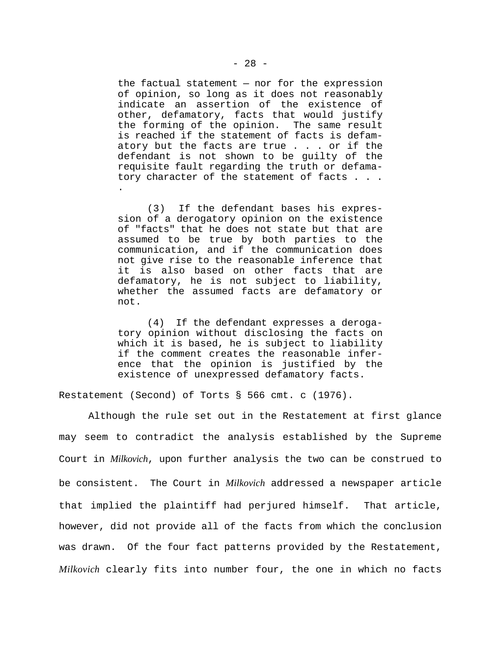the factual statement — nor for the expression of opinion, so long as it does not reasonably indicate an assertion of the existence of other, defamatory, facts that would justify the forming of the opinion. The same result is reached if the statement of facts is defamatory but the facts are true . . . or if the defendant is not shown to be guilty of the requisite fault regarding the truth or defamatory character of the statement of facts . . . .

(3) If the defendant bases his expression of a derogatory opinion on the existence of "facts" that he does not state but that are assumed to be true by both parties to the communication, and if the communication does not give rise to the reasonable inference that it is also based on other facts that are defamatory, he is not subject to liability, whether the assumed facts are defamatory or not.

(4) If the defendant expresses a derogatory opinion without disclosing the facts on which it is based, he is subject to liability if the comment creates the reasonable inference that the opinion is justified by the existence of unexpressed defamatory facts.

Restatement (Second) of Torts § 566 cmt. c (1976).

Although the rule set out in the Restatement at first glance may seem to contradict the analysis established by the Supreme Court in *Milkovich*, upon further analysis the two can be construed to be consistent. The Court in *Milkovich* addressed a newspaper article that implied the plaintiff had perjured himself. That article, however, did not provide all of the facts from which the conclusion was drawn. Of the four fact patterns provided by the Restatement, *Milkovich* clearly fits into number four, the one in which no facts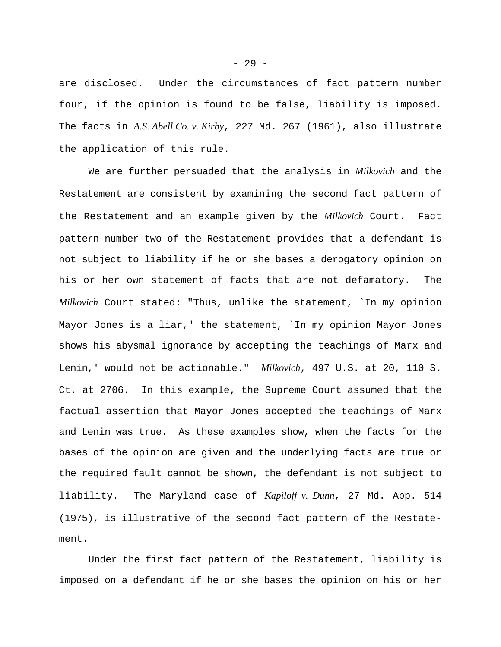are disclosed. Under the circumstances of fact pattern number four, if the opinion is found to be false, liability is imposed. The facts in *A.S. Abell Co. v. Kirby*, 227 Md. 267 (1961), also illustrate the application of this rule.

We are further persuaded that the analysis in *Milkovich* and the Restatement are consistent by examining the second fact pattern of the Restatement and an example given by the *Milkovich* Court. Fact pattern number two of the Restatement provides that a defendant is not subject to liability if he or she bases a derogatory opinion on his or her own statement of facts that are not defamatory. The *Milkovich* Court stated: "Thus, unlike the statement, `In my opinion Mayor Jones is a liar,' the statement, `In my opinion Mayor Jones shows his abysmal ignorance by accepting the teachings of Marx and Lenin,' would not be actionable." *Milkovich*, 497 U.S. at 20, 110 S. Ct. at 2706. In this example, the Supreme Court assumed that the factual assertion that Mayor Jones accepted the teachings of Marx and Lenin was true. As these examples show, when the facts for the bases of the opinion are given and the underlying facts are true or the required fault cannot be shown, the defendant is not subject to liability. The Maryland case of *Kapiloff v. Dunn*, 27 Md. App. 514 (1975), is illustrative of the second fact pattern of the Restatement.

Under the first fact pattern of the Restatement, liability is imposed on a defendant if he or she bases the opinion on his or her

- 29 -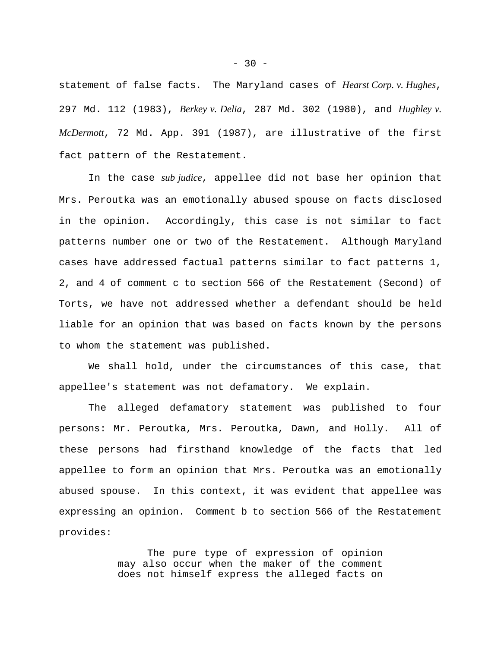statement of false facts. The Maryland cases of *Hearst Corp. v. Hughes*, 297 Md. 112 (1983), *Berkey v. Delia*, 287 Md. 302 (1980), and *Hughley v. McDermott*, 72 Md. App. 391 (1987), are illustrative of the first fact pattern of the Restatement.

In the case *sub judice*, appellee did not base her opinion that Mrs. Peroutka was an emotionally abused spouse on facts disclosed in the opinion. Accordingly, this case is not similar to fact patterns number one or two of the Restatement. Although Maryland cases have addressed factual patterns similar to fact patterns 1, 2, and 4 of comment c to section 566 of the Restatement (Second) of Torts, we have not addressed whether a defendant should be held liable for an opinion that was based on facts known by the persons to whom the statement was published.

We shall hold, under the circumstances of this case, that appellee's statement was not defamatory. We explain.

The alleged defamatory statement was published to four persons: Mr. Peroutka, Mrs. Peroutka, Dawn, and Holly. All of these persons had firsthand knowledge of the facts that led appellee to form an opinion that Mrs. Peroutka was an emotionally abused spouse. In this context, it was evident that appellee was expressing an opinion. Comment b to section 566 of the Restatement provides:

> The pure type of expression of opinion may also occur when the maker of the comment does not himself express the alleged facts on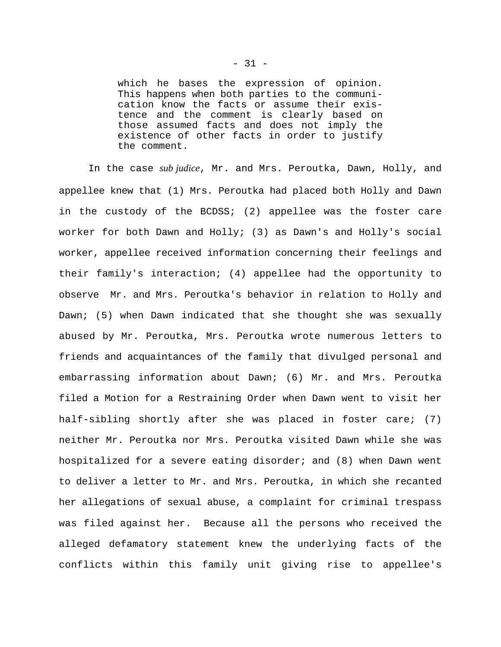which he bases the expression of opinion. This happens when both parties to the communication know the facts or assume their existence and the comment is clearly based on those assumed facts and does not imply the existence of other facts in order to justify the comment.

In the case *sub judice*, Mr. and Mrs. Peroutka, Dawn, Holly, and appellee knew that (1) Mrs. Peroutka had placed both Holly and Dawn in the custody of the BCDSS; (2) appellee was the foster care worker for both Dawn and Holly; (3) as Dawn's and Holly's social worker, appellee received information concerning their feelings and their family's interaction; (4) appellee had the opportunity to observe Mr. and Mrs. Peroutka's behavior in relation to Holly and Dawn; (5) when Dawn indicated that she thought she was sexually abused by Mr. Peroutka, Mrs. Peroutka wrote numerous letters to friends and acquaintances of the family that divulged personal and embarrassing information about Dawn; (6) Mr. and Mrs. Peroutka filed a Motion for a Restraining Order when Dawn went to visit her half-sibling shortly after she was placed in foster care; (7) neither Mr. Peroutka nor Mrs. Peroutka visited Dawn while she was hospitalized for a severe eating disorder; and (8) when Dawn went to deliver a letter to Mr. and Mrs. Peroutka, in which she recanted her allegations of sexual abuse, a complaint for criminal trespass was filed against her. Because all the persons who received the alleged defamatory statement knew the underlying facts of the conflicts within this family unit giving rise to appellee's